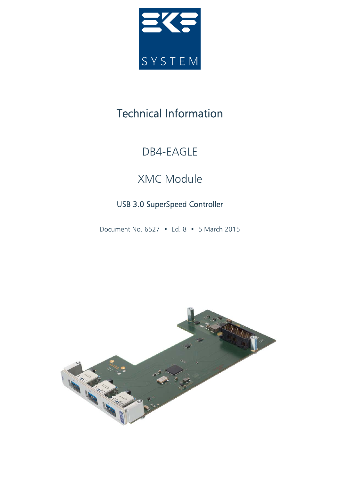

# Technical Information

## DB4-EAGLE

# XMC Module

## USB 3.0 SuperSpeed Controller

Document No. 6527 • Ed. 8 • 5 March 2015

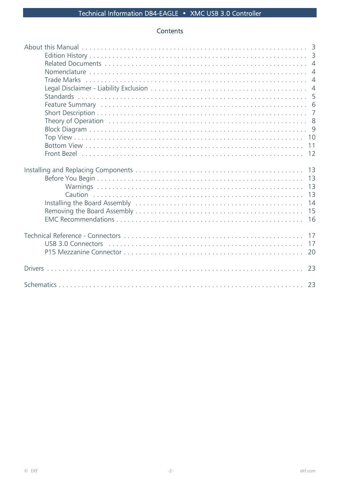## Contents

| <b>Trade Marks</b><br><b>Standards</b> | 6<br>$\overline{7}$<br>10<br>11<br>12  |
|----------------------------------------|----------------------------------------|
|                                        | 13<br>13<br>13<br>13<br>14<br>15<br>16 |
|                                        | 17<br>17<br>20                         |
|                                        | 23                                     |
|                                        | 23                                     |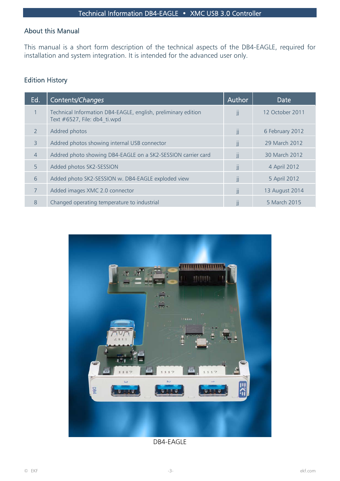## About this Manual

This manual is a short form description of the technical aspects of the DB4-EAGLE, required for installation and system integration. It is intended for the advanced user only.

## Edition History

| Ed.            | Contents/Changes                                                                              | Author           | <b>Date</b>     |
|----------------|-----------------------------------------------------------------------------------------------|------------------|-----------------|
| $\mathbf{1}$   | Technical Information DB4-EAGLE, english, preliminary edition<br>Text #6527, File: db4 ti.wpd | jj               | 12 October 2011 |
| $\mathcal{P}$  | Addred photos                                                                                 | jj               | 6 February 2012 |
| 3              | Addred photos showing internal USB connector                                                  | jj               | 29 March 2012   |
| $\overline{4}$ | Addred photo showing DB4-EAGLE on a SK2-SESSION carrier card                                  | jj               | 30 March 2012   |
| $5^{\circ}$    | Added photos SK2-SESSION                                                                      | jj               | 4 April 2012    |
| 6              | Added photo SK2-SESSION w. DB4-EAGLE exploded view                                            | jj               | 5 April 2012    |
| $\overline{7}$ | Added images XMC 2.0 connector                                                                | $\mathbf{II}$    | 13 August 2014  |
| 8              | Changed operating temperature to industrial                                                   | $\left  \right $ | 5 March 2015    |



DB4-EAGLE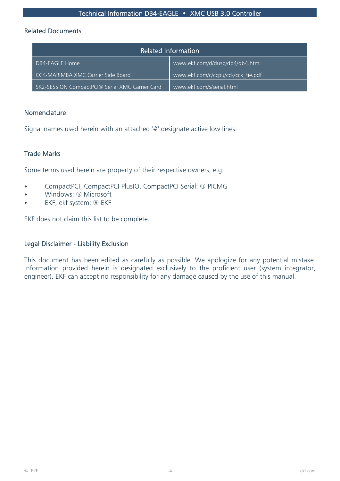#### Related Documents

| <b>Related Information</b>                      |                                    |  |  |
|-------------------------------------------------|------------------------------------|--|--|
| DB4-EAGLE Home                                  | www.ekf.com/d/dusb/db4/db4.html    |  |  |
| CCK-MARIMBA XMC Carrier Side Board              | www.ekf.com/c/ccpu/cck/cck_tie.pdf |  |  |
| SK2-SESSION CompactPCI® Serial XMC Carrier Card | www.ekf.com/s/serial.html          |  |  |

#### Nomenclature

Signal names used herein with an attached '#' designate active low lines.

#### Trade Marks

Some terms used herein are property of their respective owners, e.g.

- ▶ CompactPCI, CompactPCI PlusIO, CompactPCI Serial: ® PICMG
- < Windows: ® Microsoft
- EKF, ekf system: ® EKF

EKF does not claim this list to be complete.

#### Legal Disclaimer - Liability Exclusion

This document has been edited as carefully as possible. We apologize for any potential mistake. Information provided herein is designated exclusively to the proficient user (system integrator, engineer). EKF can accept no responsibility for any damage caused by the use of this manual.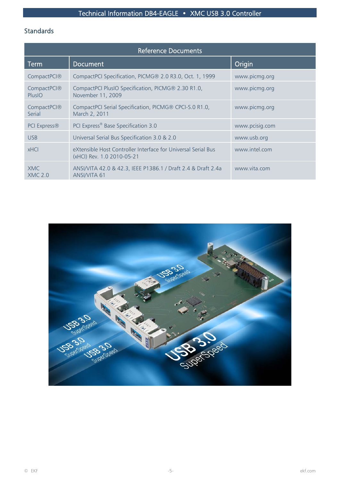## Standards

| <b>Reference Documents</b>   |                                                                                             |                |  |
|------------------------------|---------------------------------------------------------------------------------------------|----------------|--|
| <b>Term</b>                  | <b>Document</b>                                                                             | Origin         |  |
| CompactPCI®                  | CompactPCI Specification, PICMG® 2.0 R3.0, Oct. 1, 1999                                     | www.picmg.org  |  |
| CompactPCI®<br>PlusIO        | CompactPCI PlusIO Specification, PICMG® 2.30 R1.0,<br>November 11, 2009                     | www.picmg.org  |  |
| CompactPCI®<br>Serial        | CompactPCI Serial Specification, PICMG® CPCI-S.0 R1.0,<br>March 2, 2011                     | www.picmg.org  |  |
| PCI Express®                 | PCI Express® Base Specification 3.0                                                         | www.pcisig.com |  |
| <b>USB</b>                   | Universal Serial Bus Specification 3.0 & 2.0                                                | www.usb.org    |  |
| <b>xHCI</b>                  | eXtensible Host Controller Interface for Universal Serial Bus<br>(xHCl) Rev. 1.0 2010-05-21 | www.intel.com  |  |
| <b>XMC</b><br><b>XMC 2.0</b> | ANSI/VITA 42.0 & 42.3, IEEE P1386.1 / Draft 2.4 & Draft 2.4a<br>ANSI/VITA 61                | www.vita.com   |  |

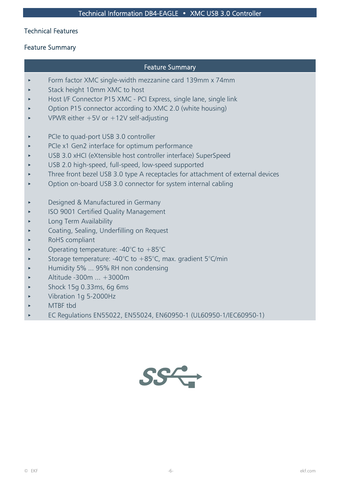### Technical Features

## Feature Summary

## Feature Summary

- Form factor XMC single-width mezzanine card 139mm x 74mm
- Stack height 10mm XMC to host
- Host I/F Connector P15 XMC PCI Express, single lane, single link
- < Option P15 connector according to XMC 2.0 (white housing)
- VPWR either  $+5V$  or  $+12V$  self-adjusting
- PCIe to quad-port USB 3.0 controller
- PCIe x1 Gen2 interface for optimum performance
- < USB 3.0 xHCI (eXtensible host controller interface) SuperSpeed
- USB 2.0 high-speed, full-speed, low-speed supported
- Three front bezel USB 3.0 type A receptacles for attachment of external devices
- < Option on-board USB 3.0 connector for system internal cabling
- **Designed & Manufactured in Germany**
- ISO 9001 Certified Quality Management
- < Long Term Availability
- < Coating, Sealing, Underfilling on Request
- RoHS compliant
- Operating temperature:  $-40^{\circ}$ C to  $+85^{\circ}$ C
- Storage temperature: -40 $^{\circ}$ C to +85 $^{\circ}$ C, max. gradient 5 $^{\circ}$ C/min
- < Humidity 5% ... 95% RH non condensing
- < Altitude -300m ... +3000m
- < Shock 15g 0.33ms, 6g 6ms
- < Vibration 1g 5-2000Hz
- < MTBF tbd
- ▶ EC Regulations EN55022, EN55024, EN60950-1 (UL60950-1/IEC60950-1)

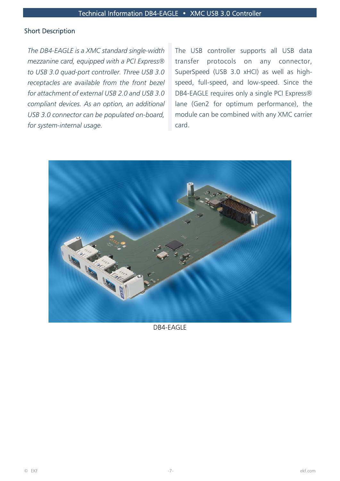#### Short Description

*The DB4-EAGLE is a XMC standard single-width mezzanine card, equipped with a PCI Express® to USB 3.0 quad-port controller. Three USB 3.0 receptacles are available from the front bezel for attachment of external USB 2.0 and USB 3.0 compliant devices. As an option, an additional USB 3.0 connector can be populated on-board, for system-internal usage.*

The USB controller supports all USB data transfer protocols on any connector, SuperSpeed (USB 3.0 xHCI) as well as highspeed, full-speed, and low-speed. Since the DB4-EAGLE requires only a single PCI Express® lane (Gen2 for optimum performance), the module can be combined with any XMC carrier card.



DB4-EAGLE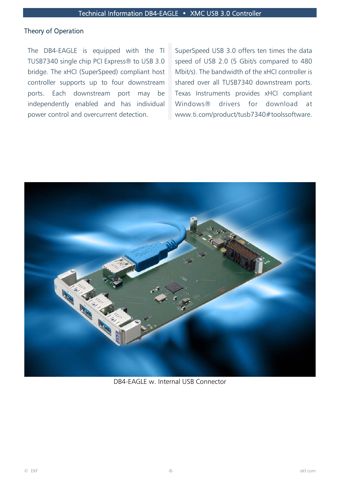#### Theory of Operation

The DB4-EAGLE is equipped with the TI TUSB7340 single chip PCI Express® to USB 3.0 bridge. The xHCI (SuperSpeed) compliant host controller supports up to four downstream ports. Each downstream port may be independently enabled and has individual power control and overcurrent detection.

SuperSpeed USB 3.0 offers ten times the data speed of USB 2.0 (5 Gbit/s compared to 480 Mbit/s). The bandwidth of the xHCI controller is shared over all TUSB7340 downstream ports. Texas Instruments provides xHCI compliant Windows® drivers for download at www.ti.com/product/tusb7340#toolssoftware.



DB4-EAGLE w. Internal USB Connector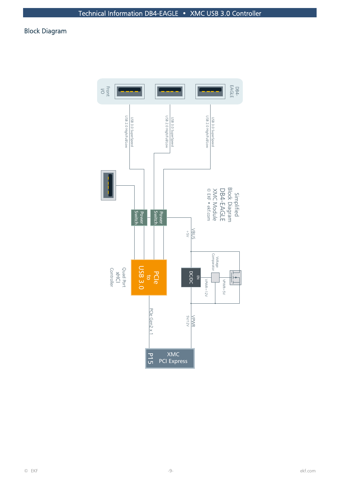## Block Diagram

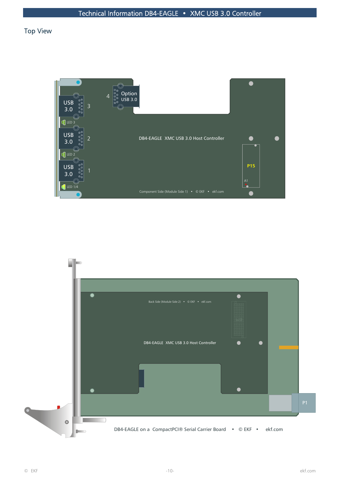## Top View



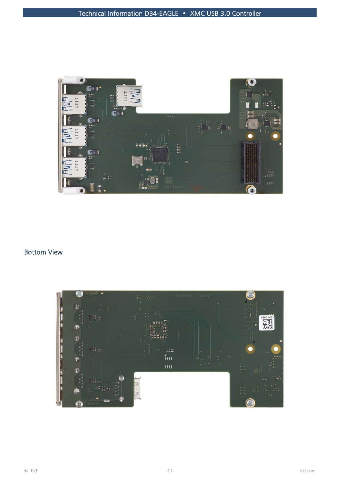

## Bottom View

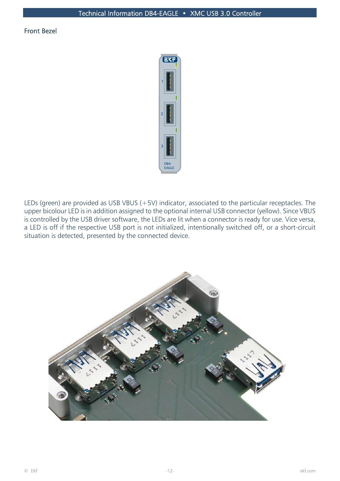#### Front Bezel



LEDs (green) are provided as USB VBUS (+5V) indicator, associated to the particular receptacles. The upper bicolour LED is in addition assigned to the optional internal USB connector (yellow). Since VBUS is controlled by the USB driver software, the LEDs are lit when a connector is ready for use. Vice versa, a LED is off if the respective USB port is not initialized, intentionally switched off, or a short-circuit situation is detected, presented by the connected device.

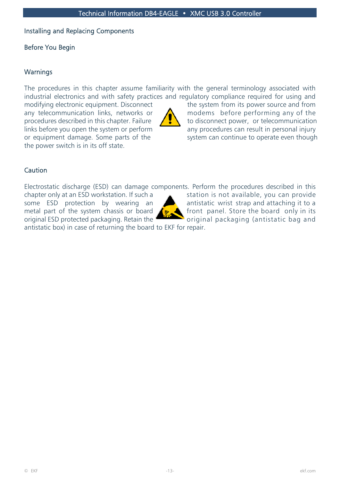### Installing and Replacing Components

## Before You Begin

## **Warnings**

The procedures in this chapter assume familiarity with the general terminology associated with industrial electronics and with safety practices and regulatory compliance required for using and

the power switch is in its off state.



modifying electronic equipment. Disconnect the system from its power source and from any telecommunication links, networks or  $\sum$  modems before performing any of the procedures described in this chapter. Failure  $\left| \int_{\mathbb{R}} \int_{\mathbb{R}} f(x) dx \right|$  bo disconnect power, or telecommunication links before you open the system or perform  $\overline{\phantom{a}}$  any procedures can result in personal injury or equipment damage. Some parts of the system can continue to operate even though

## **Caution**

Electrostatic discharge (ESD) can damage components. Perform the procedures described in this

original ESD protected packaging. Retain the original packaging (antistatic bag and



chapter only at an ESD workstation. If such a station is not available, you can provide some ESD protection by wearing an **A** antistatic wrist strap and attaching it to a metal part of the system chassis or board  $\left( \mathbb{R}^{\bullet} \right)$  front panel. Store the board only in its

antistatic box) in case of returning the board to EKF for repair.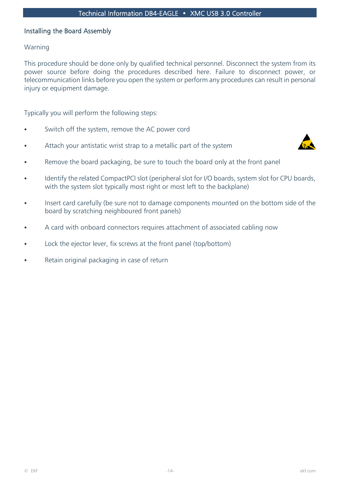#### Installing the Board Assembly

#### Warning

This procedure should be done only by qualified technical personnel. Disconnect the system from its power source before doing the procedures described here. Failure to disconnect power, or telecommunication links before you open the system or perform any procedures can result in personal injury or equipment damage.

Typically you will perform the following steps:

- Switch off the system, remove the AC power cord
- Attach your antistatic wrist strap to a metallic part of the system



- Remove the board packaging, be sure to touch the board only at the front panel
- Identify the related CompactPCI slot (peripheral slot for I/O boards, system slot for CPU boards, with the system slot typically most right or most left to the backplane)
- Insert card carefully (be sure not to damage components mounted on the bottom side of the board by scratching neighboured front panels)
- A card with onboard connectors requires attachment of associated cabling now
- Lock the ejector lever, fix screws at the front panel (top/bottom)
- Retain original packaging in case of return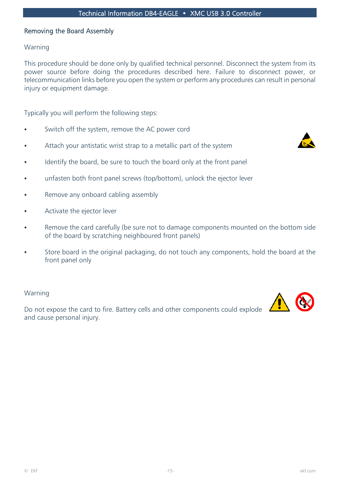#### Removing the Board Assembly

#### Warning

This procedure should be done only by qualified technical personnel. Disconnect the system from its power source before doing the procedures described here. Failure to disconnect power, or telecommunication links before you open the system or perform any procedures can result in personal injury or equipment damage.

Typically you will perform the following steps:

- Switch off the system, remove the AC power cord
- Attach your antistatic wrist strap to a metallic part of the system
- 
- Identify the board, be sure to touch the board only at the front panel
- unfasten both front panel screws (top/bottom), unlock the ejector lever
- Remove any onboard cabling assembly
- Activate the ejector lever
- Remove the card carefully (be sure not to damage components mounted on the bottom side of the board by scratching neighboured front panels)
- Store board in the original packaging, do not touch any components, hold the board at the front panel only

#### Warning

Do not expose the card to fire. Battery cells and other components could explode and cause personal injury.

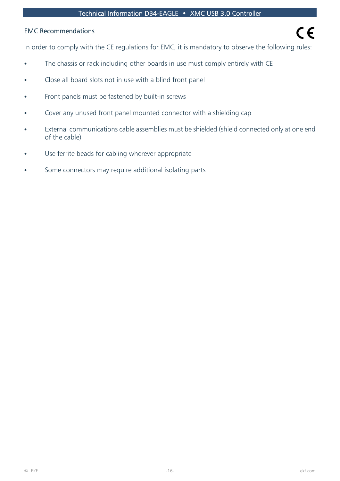#### EMC Recommendations

In order to comply with the CE regulations for EMC, it is mandatory to observe the following rules:

- The chassis or rack including other boards in use must comply entirely with CE
- Close all board slots not in use with a blind front panel
- Front panels must be fastened by built-in screws
- Cover any unused front panel mounted connector with a shielding cap
- External communications cable assemblies must be shielded (shield connected only at one end of the cable)
- Use ferrite beads for cabling wherever appropriate
- Some connectors may require additional isolating parts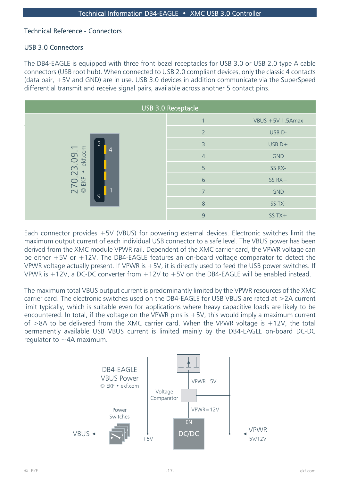#### Technical Reference - Connectors

#### USB 3.0 Connectors

The DB4-EAGLE is equipped with three front bezel receptacles for USB 3.0 or USB 2.0 type A cable connectors (USB root hub). When connected to USB 2.0 compliant devices, only the classic 4 contacts (data pair, +5V and GND) are in use. USB 3.0 devices in addition communicate via the SuperSpeed differential transmit and receive signal pairs, available across another 5 contact pins.



Each connector provides +5V (VBUS) for powering external devices. Electronic switches limit the maximum output current of each individual USB connector to a safe level. The VBUS power has been derived from the XMC module VPWR rail. Dependent of the XMC carrier card, the VPWR voltage can be either +5V or +12V. The DB4-EAGLE features an on-board voltage comparator to detect the VPWR voltage actually present. If VPWR is +5V, it is directly used to feed the USB power switches. If VPWR is  $+12V$ , a DC-DC converter from  $+12V$  to  $+5V$  on the DB4-EAGLE will be enabled instead.

The maximum total VBUS output current is predominantly limited by the VPWR resources of the XMC carrier card. The electronic switches used on the DB4-EAGLE for USB VBUS are rated at >2A current limit typically, which is suitable even for applications where heavy capacitive loads are likely to be encountered. In total, if the voltage on the VPWR pins is  $+5V$ , this would imply a maximum current of  $>8A$  to be delivered from the XMC carrier card. When the VPWR voltage is  $+12V$ , the total permanently available USB VBUS current is limited mainly by the DB4-EAGLE on-board DC-DC regulator to  $\sim$  4A maximum.

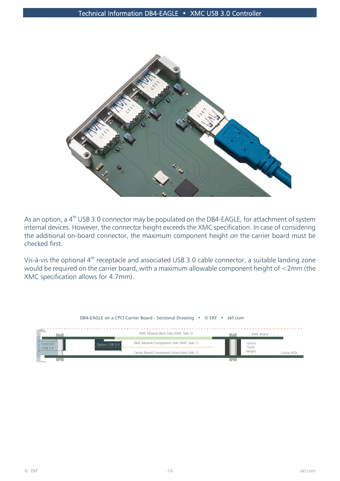

As an option, a 4<sup>th</sup> USB 3.0 connector may be populated on the DB4-EAGLE, for attachment of system internal devices. However, the connector height exceeds the XMC specification. In case of considering the additional on-board connector, the maximum component height on the carrier board must be checked first.

Vis-à-vis the optional 4th receptacle and associated USB 3.0 cable connector, a suitable landing zone would be required on the carrier board, with a maximum allowable component height of <2mm (the XMC specification allows for 4.7mm).

|                       | DB4-EAGLE on a CPCI Carrier Board - Sectional Drawing • © EKF • ekf.com |               |             |
|-----------------------|-------------------------------------------------------------------------|---------------|-------------|
|                       | XMC Module Back Side (XMC Side 2)                                       | XMC Board     |             |
| Front $I/C$<br>USB3.0 | XMC Module Component Side (XMC Side 1)<br>Option USB 3.0                | 10mm<br>Stack |             |
|                       | Carrier Board Component Area (Host Side 1)                              | Height        | Carrier PCB |
|                       |                                                                         |               |             |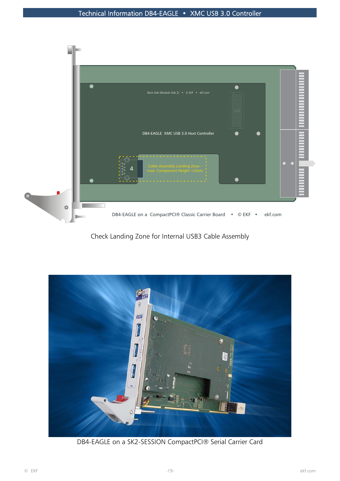

Check Landing Zone for Internal USB3 Cable Assembly



DB4-EAGLE on a SK2-SESSION CompactPCI® Serial Carrier Card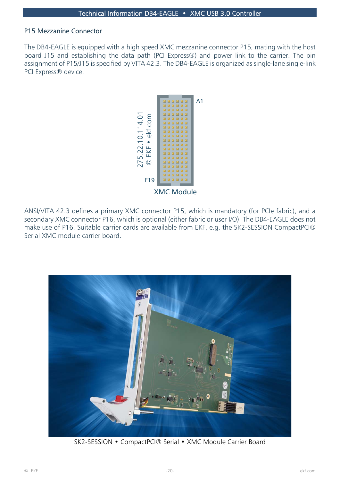#### P15 Mezzanine Connector

The DB4-EAGLE is equipped with a high speed XMC mezzanine connector P15, mating with the host board J15 and establishing the data path (PCI Express®) and power link to the carrier. The pin assignment of P15/J15 is specified by VITA 42.3. The DB4-EAGLE is organized as single-lane single-link PCI Express® device.



ANSI/VITA 42.3 defines a primary XMC connector P15, which is mandatory (for PCIe fabric), and a secondary XMC connector P16, which is optional (either fabric or user I/O). The DB4-EAGLE does not make use of P16. Suitable carrier cards are available from EKF, e.g. the SK2-SESSION CompactPCI® Serial XMC module carrier board.



SK2-SESSION • CompactPCI® Serial • XMC Module Carrier Board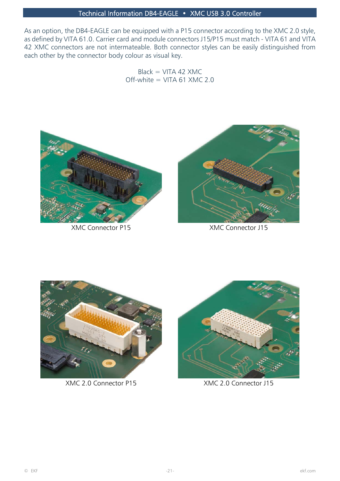As an option, the DB4-EAGLE can be equipped with a P15 connector according to the XMC 2.0 style, as defined by VITA 61.0. Carrier card and module connectors J15/P15 must match - VITA 61 and VITA 42 XMC connectors are not intermateable. Both connector styles can be easily distinguished from each other by the connector body colour as visual key.

> $Black = VITA 42 XML$ Off-white  $=$  VITA 61 XMC 2.0



XMC Connector P15 XMC Connector J15





XMC 2.0 Connector P15 XMC 2.0 Connector J15

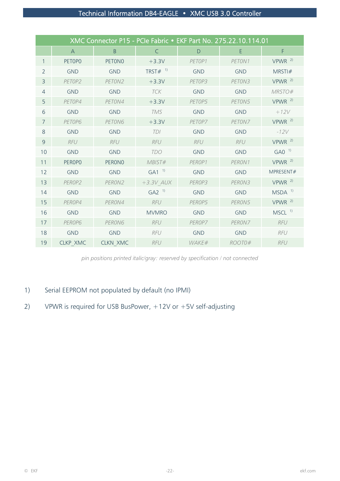| XMC Connector P15 - PCIe Fabric • EKF Part No. 275.22.10.114.01 |                 |                 |                        |            |            |                      |
|-----------------------------------------------------------------|-----------------|-----------------|------------------------|------------|------------|----------------------|
|                                                                 | $\mathsf{A}$    | $\overline{B}$  | $\mathsf{C}$           | D          | E          | F                    |
| 1                                                               | PETOPO          | <b>PETONO</b>   | $+3.3V$                | PETOP1     | PETON1     | $VPWR$ <sup>2)</sup> |
| $\overline{2}$                                                  | <b>GND</b>      | <b>GND</b>      | TRST $#$ <sup>1)</sup> | <b>GND</b> | <b>GND</b> | MRSTI#               |
| 3                                                               | PETOP2          | PETON2          | $+3.3V$                | PETOP3     | PETON3     | $VPWR$ <sup>2)</sup> |
| $\overline{4}$                                                  | <b>GND</b>      | <b>GND</b>      | <b>TCK</b>             | <b>GND</b> | <b>GND</b> | MRSTO#               |
| 5                                                               | PETOP4          | PETON4          | $+3.3V$                | PETOP5     | PETON5     | $VPWR$ <sup>2)</sup> |
| 6                                                               | <b>GND</b>      | <b>GND</b>      | <b>TMS</b>             | <b>GND</b> | <b>GND</b> | $+12V$               |
| 7                                                               | PETOP6          | PETON6          | $+3.3V$                | PETOP7     | PETON7     | VPWR <sup>2</sup>    |
| 8                                                               | <b>GND</b>      | <b>GND</b>      | TDI                    | <b>GND</b> | <b>GND</b> | $-12V$               |
| $\overline{9}$                                                  | <b>RFU</b>      | <b>RFU</b>      | <b>RFU</b>             | <b>RFU</b> | <b>RFU</b> | $VPWR$ <sup>2)</sup> |
| 10                                                              | <b>GND</b>      | <b>GND</b>      | <b>TDO</b>             | <b>GND</b> | <b>GND</b> | $GAO-1$              |
| 11                                                              | <b>PEROPO</b>   | <b>PERONO</b>   | MBIST#                 | PEROP1     | PERON1     | $VPWR$ <sup>2)</sup> |
| 12                                                              | <b>GND</b>      | <b>GND</b>      | $GA1^{-1}$             | <b>GND</b> | <b>GND</b> | MPRESENT#            |
| 13                                                              | PEROP2          | PERON2          | $+3.3V$ AUX            | PEROP3     | PERON3     | $VPWR$ <sup>2)</sup> |
| 14                                                              | <b>GND</b>      | <b>GND</b>      | $G A2$ <sup>1)</sup>   | <b>GND</b> | <b>GND</b> | $MSDA$ <sup>1)</sup> |
| 15                                                              | PEROP4          | PERON4          | <b>RFU</b>             | PEROP5     | PERON5     | $VPWR$ <sup>2)</sup> |
| 16                                                              | <b>GND</b>      | <b>GND</b>      | <b>MVMRO</b>           | <b>GND</b> | <b>GND</b> | $MSCL$ <sup>1)</sup> |
| 17                                                              | PEROP6          | PERON6          | <b>RFU</b>             | PFROP7     | PERON7     | <b>RFU</b>           |
| 18                                                              | <b>GND</b>      | <b>GND</b>      | <b>RFU</b>             | <b>GND</b> | <b>GND</b> | <b>RFU</b>           |
| 19                                                              | <b>CLKP XMC</b> | <b>CLKN XMC</b> | <b>RFU</b>             | WAKE#      | ROOT0#     | <b>RFU</b>           |

*pin positions printed italic/gray: reserved by specification / not connected*

## 1) Serial EEPROM not populated by default (no IPMI)

## 2) VPWR is required for USB BusPower, +12V or +5V self-adjusting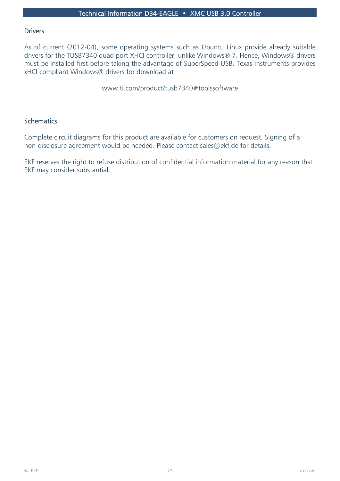#### **Drivers**

As of current (2012-04), some operating systems such as Ubuntu Linux provide already suitable drivers for the TUSB7340 quad port XHCI controller, unlike Windows® 7. Hence, Windows® drivers must be installed first before taking the advantage of SuperSpeed USB. Texas Instruments provides xHCI compliant Windows® drivers for download at

www.ti.com/product/tusb7340#toolssoftware

#### **Schematics**

Complete circuit diagrams for this product are available for customers on request. Signing of a non-disclosure agreement would be needed. Please contact sales@ekf.de for details.

EKF reserves the right to refuse distribution of confidential information material for any reason that EKF may consider substantial.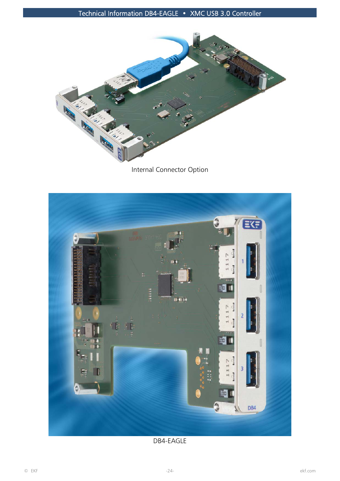

Internal Connector Option



DB4-EAGLE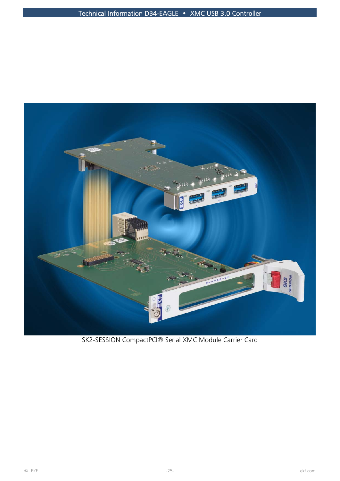

SK2-SESSION CompactPCI® Serial XMC Module Carrier Card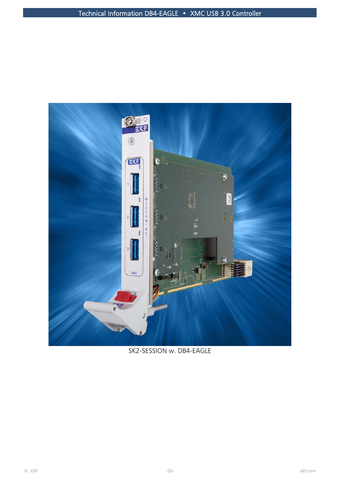

SK2-SESSION w. DB4-EAGLE